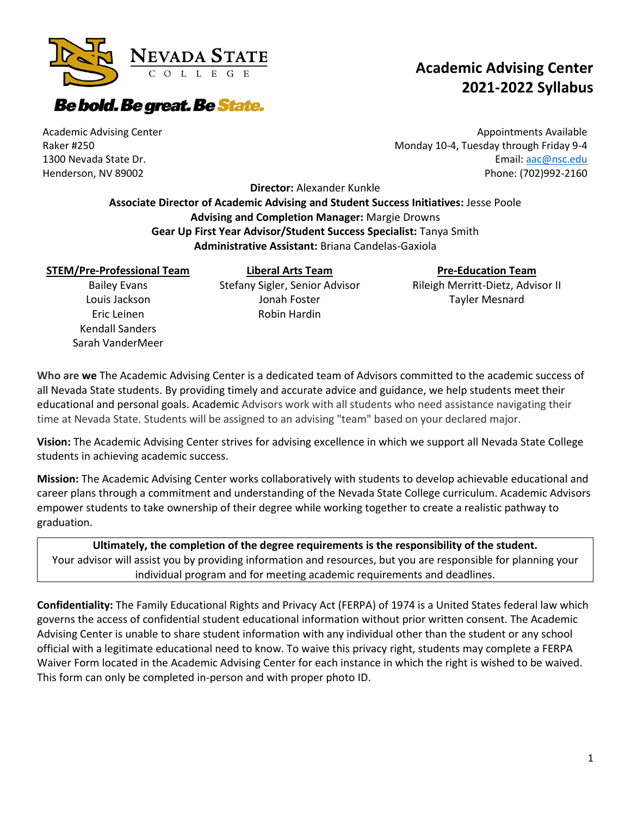

## **Be bold. Be great. Be State.**

#### Academic Advising Center Raker #250 1300 Nevada State Dr. Henderson, NV 89002

Appointments Available Monday 10-4, Tuesday through Friday 9-4 Email[: aac@nsc.edu](mailto:aac@nsc.edu)

**Academic Advising Center** 

Phone: (702)992-2160

**2021-2022 Syllabus**

**Director:** Alexander Kunkle

**Associate Director of Academic Advising and Student Success Initiatives:** Jesse Poole **Advising and Completion Manager:** Margie Drowns **Gear Up First Year Advisor/Student Success Specialist:** Tanya Smith **Administrative Assistant:** Briana Candelas-Gaxiola

#### **STEM/Pre-Professional Team**

Bailey Evans Louis Jackson Eric Leinen Kendall Sanders Sarah VanderMeer

**Liberal Arts Team** Stefany Sigler, Senior Advisor Jonah Foster Robin Hardin

### **Pre-Education Team**

Rileigh Merritt-Dietz, Advisor II Tayler Mesnard

**Who are we** The Academic Advising Center is a dedicated team of Advisors committed to the academic success of all Nevada State students. By providing timely and accurate advice and guidance, we help students meet their educational and personal goals. Academic Advisors work with all students who need assistance navigating their time at Nevada State. Students will be assigned to an advising "team" based on your declared major.

**Vision:** The Academic Advising Center strives for advising excellence in which we support all Nevada State College students in achieving academic success.

**Mission:** The Academic Advising Center works collaboratively with students to develop achievable educational and career plans through a commitment and understanding of the Nevada State College curriculum. Academic Advisors empower students to take ownership of their degree while working together to create a realistic pathway to graduation.

**Ultimately, the completion of the degree requirements is the responsibility of the student.** Your advisor will assist you by providing information and resources, but you are responsible for planning your individual program and for meeting academic requirements and deadlines.

**Confidentiality:** The Family Educational Rights and Privacy Act (FERPA) of 1974 is a United States federal law which governs the access of confidential student educational information without prior written consent. The Academic Advising Center is unable to share student information with any individual other than the student or any school official with a legitimate educational need to know. To waive this privacy right, students may complete a FERPA Waiver Form located in the Academic Advising Center for each instance in which the right is wished to be waived. This form can only be completed in-person and with proper photo ID.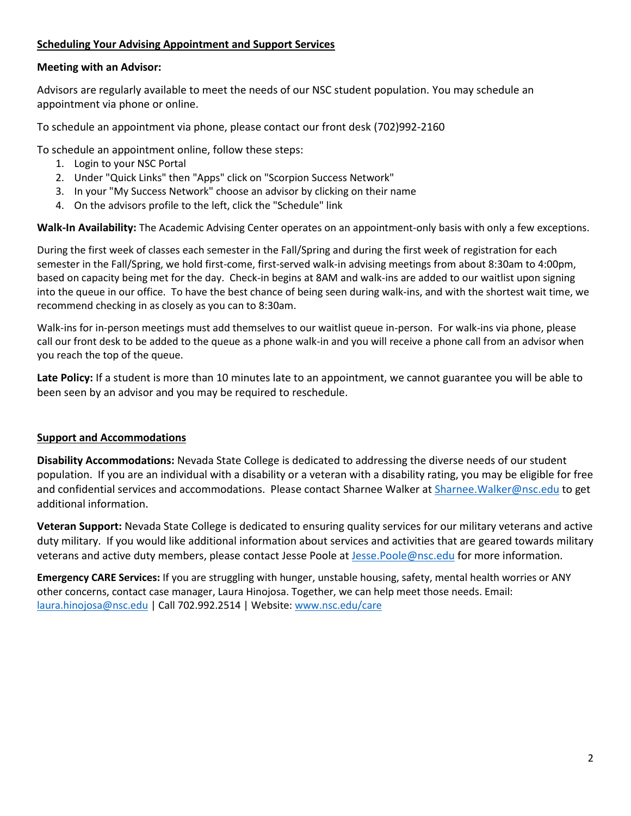#### **Scheduling Your Advising Appointment and Support Services**

#### **Meeting with an Advisor:**

Advisors are regularly available to meet the needs of our NSC student population. You may schedule an appointment via phone or online.

To schedule an appointment via phone, please contact our front desk (702)992-2160

To schedule an appointment online, follow these steps:

- 1. Login to your NSC Portal
- 2. Under "Quick Links" then "Apps" click on "Scorpion Success Network"
- 3. In your "My Success Network" choose an advisor by clicking on their name
- 4. On the advisors profile to the left, click the "Schedule" link

**Walk-In Availability:** The Academic Advising Center operates on an appointment-only basis with only a few exceptions.

During the first week of classes each semester in the Fall/Spring and during the first week of registration for each semester in the Fall/Spring, we hold first-come, first-served walk-in advising meetings from about 8:30am to 4:00pm, based on capacity being met for the day. Check-in begins at 8AM and walk-ins are added to our waitlist upon signing into the queue in our office. To have the best chance of being seen during walk-ins, and with the shortest wait time, we recommend checking in as closely as you can to 8:30am.

Walk-ins for in-person meetings must add themselves to our waitlist queue in-person. For walk-ins via phone, please call our front desk to be added to the queue as a phone walk-in and you will receive a phone call from an advisor when you reach the top of the queue.

**Late Policy:** If a student is more than 10 minutes late to an appointment, we cannot guarantee you will be able to been seen by an advisor and you may be required to reschedule.

#### **Support and Accommodations**

**Disability Accommodations:** Nevada State College is dedicated to addressing the diverse needs of our student population. If you are an individual with a disability or a veteran with a disability rating, you may be eligible for free and confidential services and accommodations. Please contact Sharnee Walker at [Sharnee.Walker@nsc.edu](mailto:Sharnee.Walker@nsc.edu) to get additional information.

**Veteran Support:** Nevada State College is dedicated to ensuring quality services for our military veterans and active duty military. If you would like additional information about services and activities that are geared towards military veterans and active duty members, please contact Jesse Poole at [Jesse.Poole@nsc.edu](mailto:Jesse.Poole@nsc.edu) for more information.

**Emergency CARE Services:** If you are struggling with hunger, unstable housing, safety, mental health worries or ANY other concerns, contact case manager, Laura Hinojosa. Together, we can help meet those needs. Email: [laura.hinojosa@nsc.edu](mailto:laura.hinojosa@nsc.edu) | Call 702.992.2514 | Website: [www.nsc.edu/care](http://www.nsc.edu/care)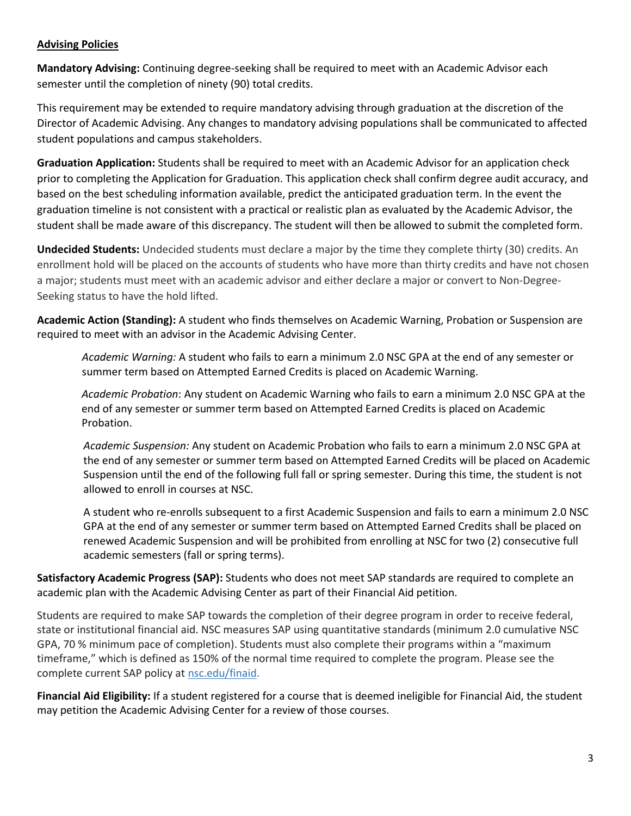#### **Advising Policies**

**Mandatory Advising:** Continuing degree-seeking shall be required to meet with an Academic Advisor each semester until the completion of ninety (90) total credits.

This requirement may be extended to require mandatory advising through graduation at the discretion of the Director of Academic Advising. Any changes to mandatory advising populations shall be communicated to affected student populations and campus stakeholders.

**Graduation Application:** Students shall be required to meet with an Academic Advisor for an application check prior to completing the Application for Graduation. This application check shall confirm degree audit accuracy, and based on the best scheduling information available, predict the anticipated graduation term. In the event the graduation timeline is not consistent with a practical or realistic plan as evaluated by the Academic Advisor, the student shall be made aware of this discrepancy. The student will then be allowed to submit the completed form.

**Undecided Students:** Undecided students must declare a major by the time they complete thirty (30) credits. An enrollment hold will be placed on the accounts of students who have more than thirty credits and have not chosen a major; students must meet with an academic advisor and either declare a major or convert to Non-Degree-Seeking status to have the hold lifted.

**Academic Action (Standing):** A student who finds themselves on Academic Warning, Probation or Suspension are required to meet with an advisor in the Academic Advising Center.

*Academic Warning:* A student who fails to earn a minimum 2.0 NSC GPA at the end of any semester or summer term based on Attempted Earned Credits is placed on Academic Warning.

*Academic Probation*: Any student on Academic Warning who fails to earn a minimum 2.0 NSC GPA at the end of any semester or summer term based on Attempted Earned Credits is placed on Academic Probation.

*Academic Suspension:* Any student on Academic Probation who fails to earn a minimum 2.0 NSC GPA at the end of any semester or summer term based on Attempted Earned Credits will be placed on Academic Suspension until the end of the following full fall or spring semester. During this time, the student is not allowed to enroll in courses at NSC.

A student who re-enrolls subsequent to a first Academic Suspension and fails to earn a minimum 2.0 NSC GPA at the end of any semester or summer term based on Attempted Earned Credits shall be placed on renewed Academic Suspension and will be prohibited from enrolling at NSC for two (2) consecutive full academic semesters (fall or spring terms).

**Satisfactory Academic Progress (SAP):** Students who does not meet SAP standards are required to complete an academic plan with the Academic Advising Center as part of their Financial Aid petition.

Students are required to make SAP towards the completion of their degree program in order to receive federal, state or institutional financial aid. NSC measures SAP using quantitative standards (minimum 2.0 cumulative NSC GPA, 70 % minimum pace of completion). Students must also complete their programs within a "maximum timeframe," which is defined as 150% of the normal time required to complete the program. Please see the complete current SAP policy at [nsc.edu/finaid.](http://nsc.edu/finaid)

**Financial Aid Eligibility:** If a student registered for a course that is deemed ineligible for Financial Aid, the student may petition the Academic Advising Center for a review of those courses.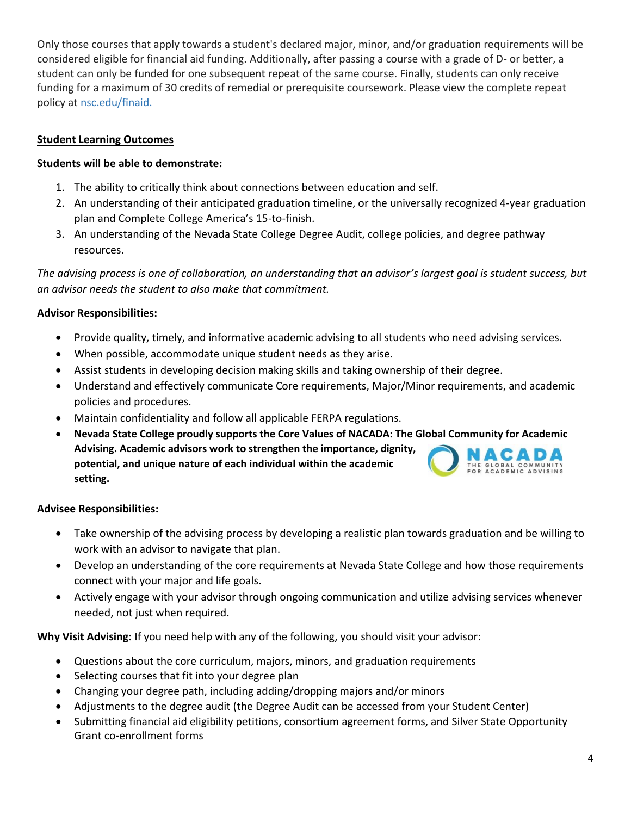Only those courses that apply towards a student's declared major, minor, and/or graduation requirements will be considered eligible for financial aid funding. Additionally, after passing a course with a grade of D- or better, a student can only be funded for one subsequent repeat of the same course. Finally, students can only receive funding for a maximum of 30 credits of remedial or prerequisite coursework. Please view the complete repeat policy at [nsc.edu/finaid.](http://nsc.edu/finaid)

#### **Student Learning Outcomes**

#### **Students will be able to demonstrate:**

- 1. The ability to critically think about connections between education and self.
- 2. An understanding of their anticipated graduation timeline, or the universally recognized 4-year graduation plan and Complete College America's 15-to-finish.
- 3. An understanding of the Nevada State College Degree Audit, college policies, and degree pathway resources.

*The advising process is one of collaboration, an understanding that an advisor's largest goal is student success, but an advisor needs the student to also make that commitment.* 

#### **Advisor Responsibilities:**

- Provide quality, timely, and informative academic advising to all students who need advising services.
- When possible, accommodate unique student needs as they arise.
- Assist students in developing decision making skills and taking ownership of their degree.
- Understand and effectively communicate Core requirements, Major/Minor requirements, and academic policies and procedures.
- Maintain confidentiality and follow all applicable FERPA regulations.
- **Nevada State College proudly supports the Core Values of NACADA: The Global Community for Academic Advising. Academic advisors work to strengthen the importance, dignity,**  ACADA **potential, and unique nature of each individual within the academic**  GLOBAL COMMUNITY **setting.**

#### **Advisee Responsibilities:**

- Take ownership of the advising process by developing a realistic plan towards graduation and be willing to work with an advisor to navigate that plan.
- Develop an understanding of the core requirements at Nevada State College and how those requirements connect with your major and life goals.
- Actively engage with your advisor through ongoing communication and utilize advising services whenever needed, not just when required.

**Why Visit Advising:** If you need help with any of the following, you should visit your advisor:

- Questions about the core curriculum, majors, minors, and graduation requirements
- Selecting courses that fit into your degree plan
- Changing your degree path, including adding/dropping majors and/or minors
- Adjustments to the degree audit (the Degree Audit can be accessed from your Student Center)
- Submitting financial aid eligibility petitions, consortium agreement forms, and Silver State Opportunity Grant co-enrollment forms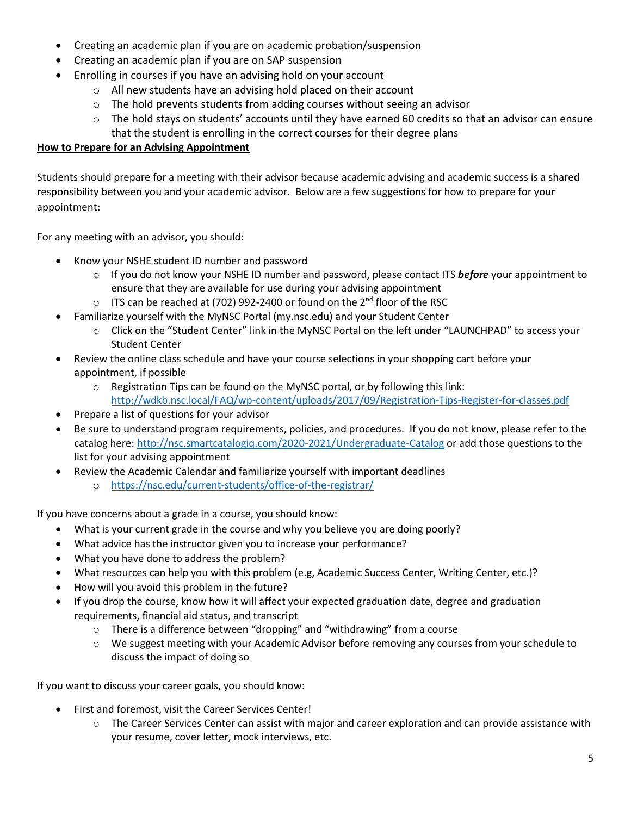- Creating an academic plan if you are on academic probation/suspension
- Creating an academic plan if you are on SAP suspension
- Enrolling in courses if you have an advising hold on your account
	- o All new students have an advising hold placed on their account
	- $\circ$  The hold prevents students from adding courses without seeing an advisor
	- $\circ$  The hold stays on students' accounts until they have earned 60 credits so that an advisor can ensure that the student is enrolling in the correct courses for their degree plans

#### **How to Prepare for an Advising Appointment**

Students should prepare for a meeting with their advisor because academic advising and academic success is a shared responsibility between you and your academic advisor. Below are a few suggestions for how to prepare for your appointment:

For any meeting with an advisor, you should:

- Know your NSHE student ID number and password
	- o If you do not know your NSHE ID number and password, please contact ITS *before* your appointment to ensure that they are available for use during your advising appointment
	- $\circ$  ITS can be reached at (702) 992-2400 or found on the 2<sup>nd</sup> floor of the RSC
- Familiarize yourself with the MyNSC Portal (my.nsc.edu) and your Student Center
	- o Click on the "Student Center" link in the MyNSC Portal on the left under "LAUNCHPAD" to access your Student Center
- Review the online class schedule and have your course selections in your shopping cart before your appointment, if possible
	- o Registration Tips can be found on the MyNSC portal, or by following this link: <http://wdkb.nsc.local/FAQ/wp-content/uploads/2017/09/Registration-Tips-Register-for-classes.pdf>
- Prepare a list of questions for your advisor
- Be sure to understand program requirements, policies, and procedures. If you do not know, please refer to the catalog here:<http://nsc.smartcatalogiq.com/2020-2021/Undergraduate-Catalog> or add those questions to the list for your advising appointment
- Review the Academic Calendar and familiarize yourself with important deadlines o <https://nsc.edu/current-students/office-of-the-registrar/>

If you have concerns about a grade in a course, you should know:

- What is your current grade in the course and why you believe you are doing poorly?
- What advice has the instructor given you to increase your performance?
- What you have done to address the problem?
- What resources can help you with this problem (e.g, Academic Success Center, Writing Center, etc.)?
- How will you avoid this problem in the future?
- If you drop the course, know how it will affect your expected graduation date, degree and graduation requirements, financial aid status, and transcript
	- o There is a difference between "dropping" and "withdrawing" from a course
	- o We suggest meeting with your Academic Advisor before removing any courses from your schedule to discuss the impact of doing so

If you want to discuss your career goals, you should know:

- First and foremost, visit the Career Services Center!
	- $\circ$  The Career Services Center can assist with major and career exploration and can provide assistance with your resume, cover letter, mock interviews, etc.